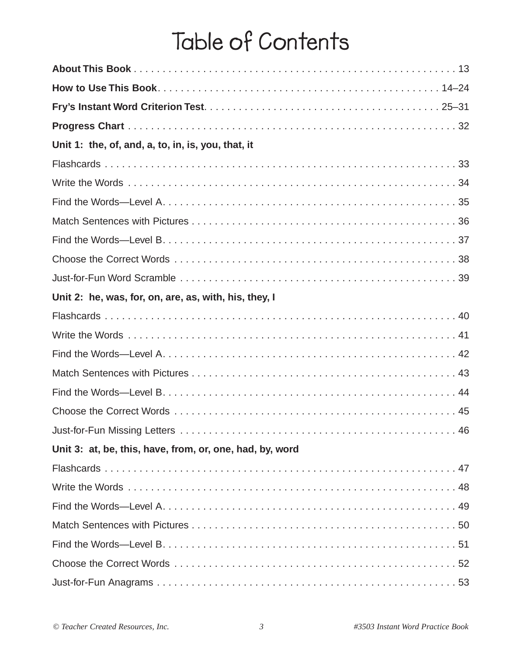# **Table of Contents**

| Unit 1: the, of, and, a, to, in, is, you, that, it       |  |
|----------------------------------------------------------|--|
|                                                          |  |
|                                                          |  |
|                                                          |  |
|                                                          |  |
|                                                          |  |
|                                                          |  |
|                                                          |  |
| Unit 2: he, was, for, on, are, as, with, his, they, I    |  |
|                                                          |  |
|                                                          |  |
|                                                          |  |
|                                                          |  |
|                                                          |  |
|                                                          |  |
| 46                                                       |  |
| Unit 3: at, be, this, have, from, or, one, had, by, word |  |
|                                                          |  |
|                                                          |  |
|                                                          |  |
|                                                          |  |
|                                                          |  |
|                                                          |  |
|                                                          |  |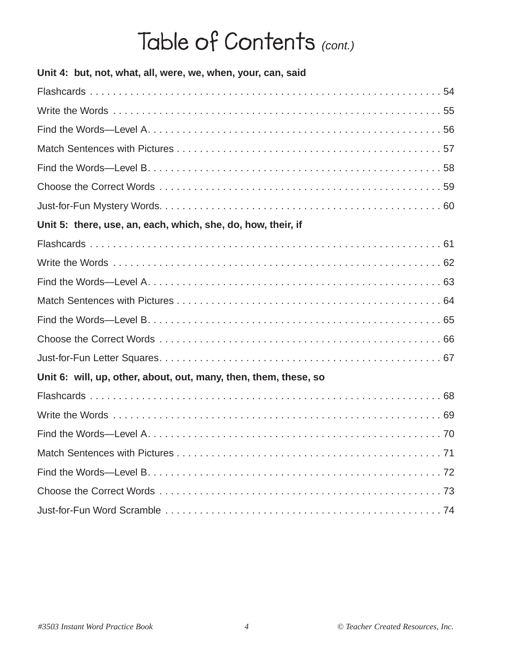| Unit 4: but, not, what, all, were, we, when, your, can, said     |
|------------------------------------------------------------------|
|                                                                  |
|                                                                  |
|                                                                  |
|                                                                  |
|                                                                  |
|                                                                  |
|                                                                  |
| Unit 5: there, use, an, each, which, she, do, how, their, if     |
|                                                                  |
|                                                                  |
|                                                                  |
|                                                                  |
|                                                                  |
|                                                                  |
|                                                                  |
| Unit 6: will, up, other, about, out, many, then, them, these, so |
|                                                                  |
|                                                                  |
|                                                                  |
|                                                                  |
|                                                                  |
|                                                                  |
|                                                                  |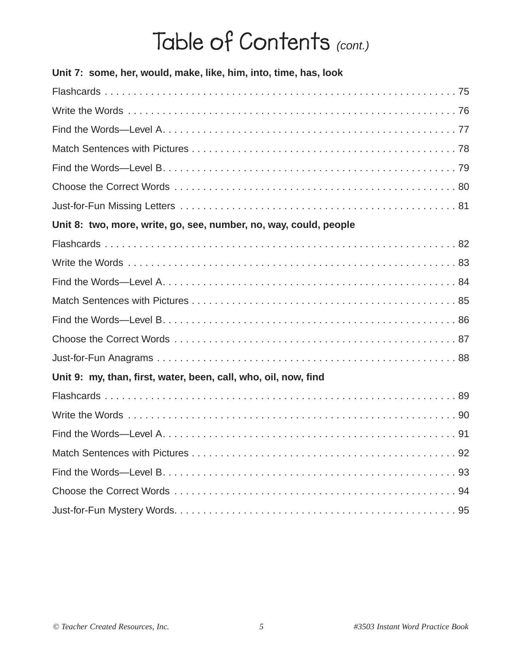| Unit 7: some, her, would, make, like, him, into, time, has, look  |  |
|-------------------------------------------------------------------|--|
|                                                                   |  |
|                                                                   |  |
|                                                                   |  |
|                                                                   |  |
|                                                                   |  |
|                                                                   |  |
|                                                                   |  |
| Unit 8: two, more, write, go, see, number, no, way, could, people |  |
|                                                                   |  |
|                                                                   |  |
|                                                                   |  |
|                                                                   |  |
|                                                                   |  |
|                                                                   |  |
|                                                                   |  |
| Unit 9: my, than, first, water, been, call, who, oil, now, find   |  |
|                                                                   |  |
|                                                                   |  |
|                                                                   |  |
|                                                                   |  |
|                                                                   |  |
|                                                                   |  |
|                                                                   |  |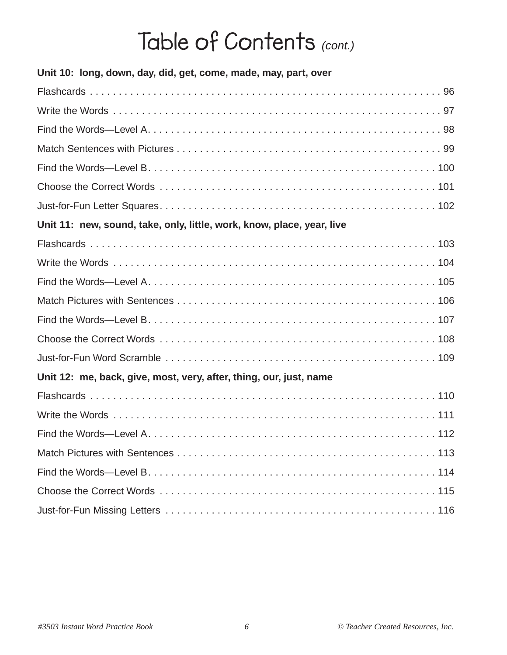| Unit 10: long, down, day, did, get, come, made, may, part, over        |
|------------------------------------------------------------------------|
|                                                                        |
|                                                                        |
|                                                                        |
|                                                                        |
|                                                                        |
|                                                                        |
|                                                                        |
| Unit 11: new, sound, take, only, little, work, know, place, year, live |
|                                                                        |
|                                                                        |
|                                                                        |
|                                                                        |
|                                                                        |
|                                                                        |
|                                                                        |
| Unit 12: me, back, give, most, very, after, thing, our, just, name     |
|                                                                        |
|                                                                        |
|                                                                        |
|                                                                        |
|                                                                        |
|                                                                        |
|                                                                        |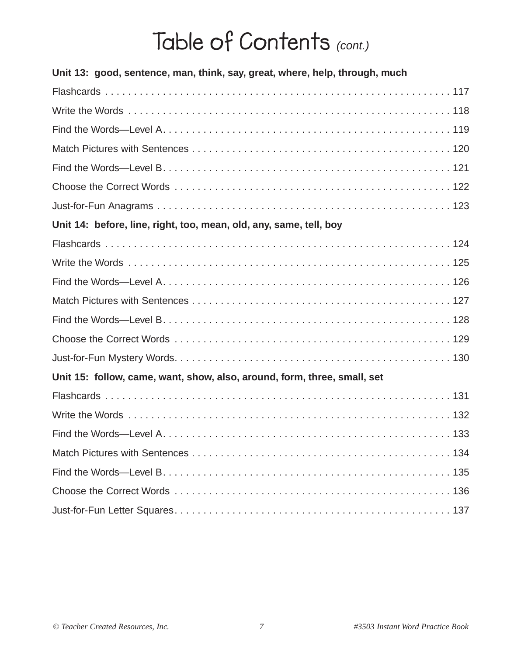| Unit 13: good, sentence, man, think, say, great, where, help, through, much |  |
|-----------------------------------------------------------------------------|--|
|                                                                             |  |
|                                                                             |  |
|                                                                             |  |
|                                                                             |  |
|                                                                             |  |
|                                                                             |  |
|                                                                             |  |
| Unit 14: before, line, right, too, mean, old, any, same, tell, boy          |  |
|                                                                             |  |
|                                                                             |  |
|                                                                             |  |
|                                                                             |  |
|                                                                             |  |
|                                                                             |  |
|                                                                             |  |
| Unit 15: follow, came, want, show, also, around, form, three, small, set    |  |
|                                                                             |  |
|                                                                             |  |
|                                                                             |  |
|                                                                             |  |
|                                                                             |  |
|                                                                             |  |
|                                                                             |  |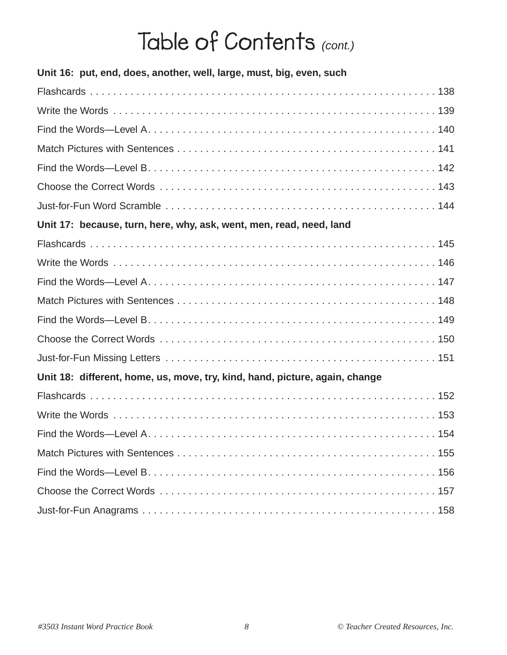| Unit 16: put, end, does, another, well, large, must, big, even, such        |
|-----------------------------------------------------------------------------|
|                                                                             |
|                                                                             |
|                                                                             |
|                                                                             |
|                                                                             |
|                                                                             |
|                                                                             |
| Unit 17: because, turn, here, why, ask, went, men, read, need, land         |
|                                                                             |
|                                                                             |
|                                                                             |
|                                                                             |
|                                                                             |
|                                                                             |
|                                                                             |
| Unit 18: different, home, us, move, try, kind, hand, picture, again, change |
|                                                                             |
|                                                                             |
|                                                                             |
|                                                                             |
|                                                                             |
|                                                                             |
|                                                                             |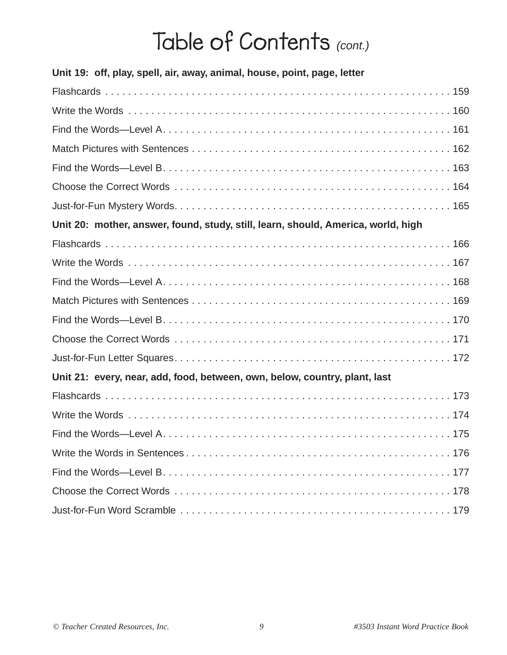| Unit 19: off, play, spell, air, away, animal, house, point, page, letter          |  |
|-----------------------------------------------------------------------------------|--|
|                                                                                   |  |
|                                                                                   |  |
|                                                                                   |  |
|                                                                                   |  |
|                                                                                   |  |
|                                                                                   |  |
|                                                                                   |  |
| Unit 20: mother, answer, found, study, still, learn, should, America, world, high |  |
|                                                                                   |  |
|                                                                                   |  |
|                                                                                   |  |
|                                                                                   |  |
|                                                                                   |  |
|                                                                                   |  |
|                                                                                   |  |
| Unit 21: every, near, add, food, between, own, below, country, plant, last        |  |
|                                                                                   |  |
|                                                                                   |  |
|                                                                                   |  |
|                                                                                   |  |
|                                                                                   |  |
|                                                                                   |  |
|                                                                                   |  |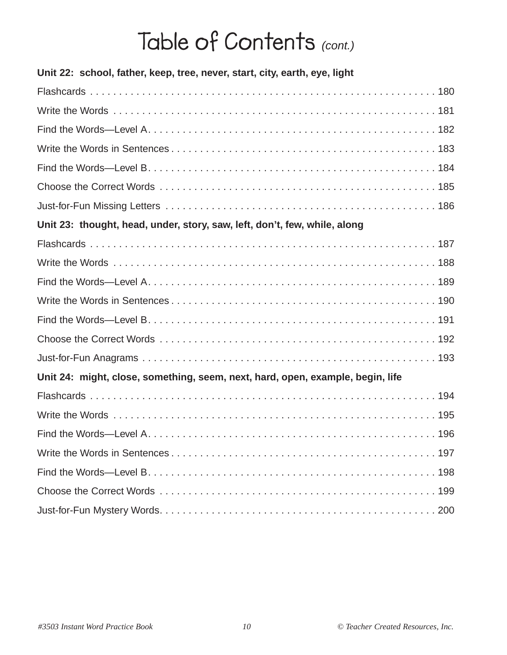| Unit 22: school, father, keep, tree, never, start, city, earth, eye, light     |
|--------------------------------------------------------------------------------|
|                                                                                |
|                                                                                |
|                                                                                |
|                                                                                |
|                                                                                |
|                                                                                |
|                                                                                |
| Unit 23: thought, head, under, story, saw, left, don't, few, while, along      |
|                                                                                |
|                                                                                |
|                                                                                |
|                                                                                |
|                                                                                |
|                                                                                |
|                                                                                |
| Unit 24: might, close, something, seem, next, hard, open, example, begin, life |
|                                                                                |
|                                                                                |
|                                                                                |
|                                                                                |
|                                                                                |
|                                                                                |
|                                                                                |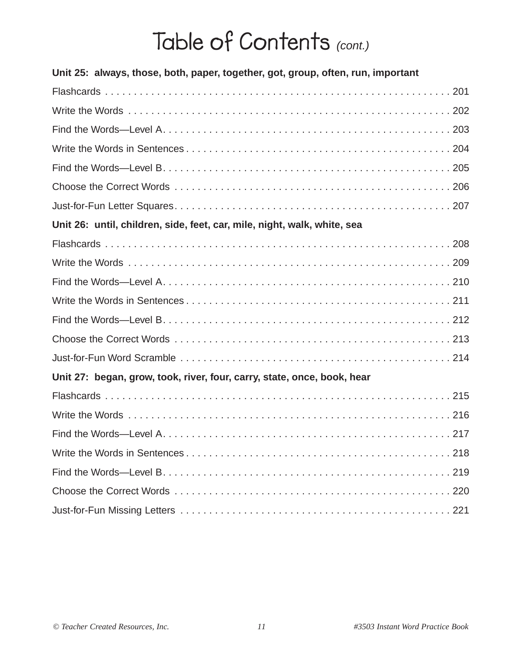| Unit 25: always, those, both, paper, together, got, group, often, run, important |
|----------------------------------------------------------------------------------|
|                                                                                  |
|                                                                                  |
|                                                                                  |
|                                                                                  |
|                                                                                  |
|                                                                                  |
|                                                                                  |
| Unit 26: until, children, side, feet, car, mile, night, walk, white, sea         |
|                                                                                  |
|                                                                                  |
|                                                                                  |
|                                                                                  |
|                                                                                  |
|                                                                                  |
|                                                                                  |
| Unit 27: began, grow, took, river, four, carry, state, once, book, hear          |
|                                                                                  |
|                                                                                  |
|                                                                                  |
|                                                                                  |
|                                                                                  |
|                                                                                  |
|                                                                                  |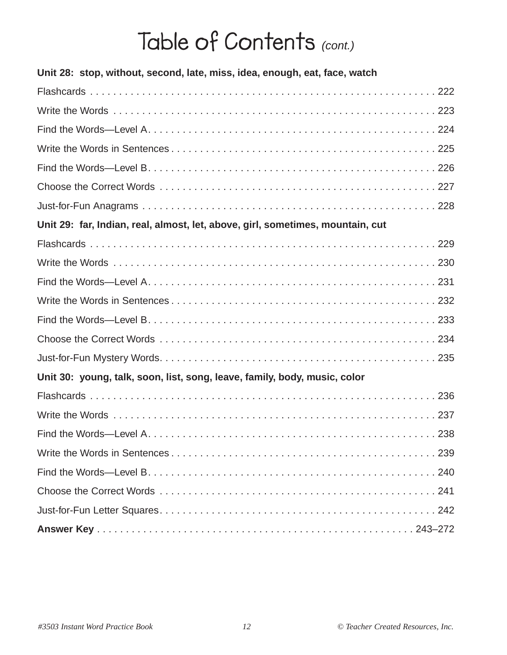| Unit 28: stop, without, second, late, miss, idea, enough, eat, face, watch     |
|--------------------------------------------------------------------------------|
|                                                                                |
|                                                                                |
|                                                                                |
|                                                                                |
|                                                                                |
|                                                                                |
|                                                                                |
| Unit 29: far, Indian, real, almost, let, above, girl, sometimes, mountain, cut |
|                                                                                |
|                                                                                |
|                                                                                |
|                                                                                |
|                                                                                |
|                                                                                |
|                                                                                |
| Unit 30: young, talk, soon, list, song, leave, family, body, music, color      |
|                                                                                |
|                                                                                |
|                                                                                |
|                                                                                |
|                                                                                |
|                                                                                |
|                                                                                |
|                                                                                |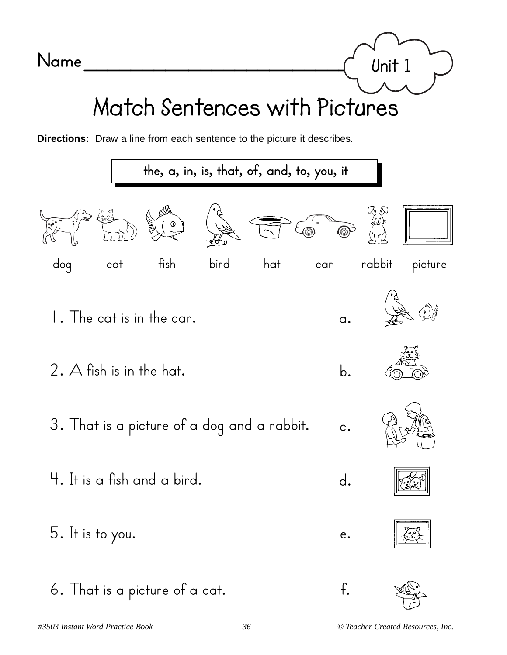

**Directions:** Draw a line from each sentence to the picture it describes.



**Unit 1**